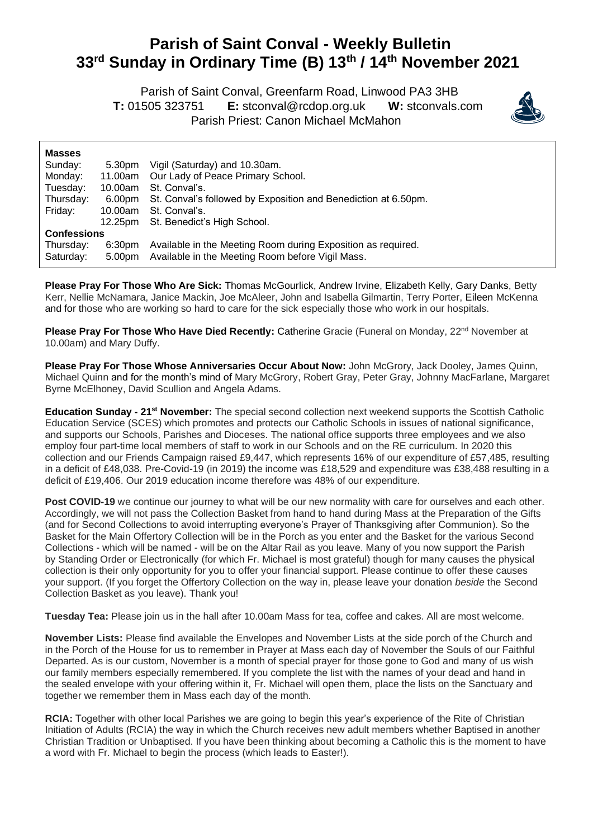## **Parish of Saint Conval - Weekly Bulletin 33 rd Sunday in Ordinary Time (B) 13th / 14th November 2021**

 Parish of Saint Conval, Greenfarm Road, Linwood PA3 3HB **T:** 01505 323751 **E:** [stconval@rcdop.org.uk](mailto:stconval@rcdop.org.uk) **W:** stconvals.com Parish Priest: Canon Michael McMahon



| <b>Masses</b>      |         |                                                                |
|--------------------|---------|----------------------------------------------------------------|
| Sunday:            | 5.30pm  | Vigil (Saturday) and 10.30am.                                  |
| Monday:            | 11.00am | Our Lady of Peace Primary School.                              |
| Tuesday:           | 10.00am | St. Conval's.                                                  |
| Thursday:          | 6.00pm  | St. Conval's followed by Exposition and Benediction at 6.50pm. |
| Friday:            | 10.00am | St. Conval's.                                                  |
|                    | 12.25pm | St. Benedict's High School.                                    |
| <b>Confessions</b> |         |                                                                |
| Thursday:          | 6:30pm  | Available in the Meeting Room during Exposition as required.   |
| Saturday:          | 5.00pm  | Available in the Meeting Room before Vigil Mass.               |

**Please Pray For Those Who Are Sick:** Thomas McGourlick, Andrew Irvine, Elizabeth Kelly, Gary Danks, Betty Kerr, Nellie McNamara, Janice Mackin, Joe McAleer, John and Isabella Gilmartin, Terry Porter, Eileen McKenna and for those who are working so hard to care for the sick especially those who work in our hospitals.

Please Pray For Those Who Have Died Recently: Catherine Gracie (Funeral on Monday, 22<sup>nd</sup> November at 10.00am) and Mary Duffy.

**Please Pray For Those Whose Anniversaries Occur About Now:** John McGrory, Jack Dooley, James Quinn, Michael Quinn and for the month's mind of Mary McGrory, Robert Gray, Peter Gray, Johnny MacFarlane, Margaret Byrne McElhoney, David Scullion and Angela Adams.

**Education Sunday - 21st November:** The special second collection next weekend supports the Scottish Catholic Education Service (SCES) which promotes and protects our Catholic Schools in issues of national significance, and supports our Schools, Parishes and Dioceses. The national office supports three employees and we also employ four part-time local members of staff to work in our Schools and on the RE curriculum. In 2020 this collection and our Friends Campaign raised £9,447, which represents 16% of our expenditure of £57,485, resulting in a deficit of £48,038. Pre-Covid-19 (in 2019) the income was £18,529 and expenditure was £38,488 resulting in a deficit of £19,406. Our 2019 education income therefore was 48% of our expenditure.

Post COVID-19 we continue our journey to what will be our new normality with care for ourselves and each other. Accordingly, we will not pass the Collection Basket from hand to hand during Mass at the Preparation of the Gifts (and for Second Collections to avoid interrupting everyone's Prayer of Thanksgiving after Communion). So the Basket for the Main Offertory Collection will be in the Porch as you enter and the Basket for the various Second Collections - which will be named - will be on the Altar Rail as you leave. Many of you now support the Parish by Standing Order or Electronically (for which Fr. Michael is most grateful) though for many causes the physical collection is their only opportunity for you to offer your financial support. Please continue to offer these causes your support. (If you forget the Offertory Collection on the way in, please leave your donation *beside* the Second Collection Basket as you leave). Thank you!

**Tuesday Tea:** Please join us in the hall after 10.00am Mass for tea, coffee and cakes. All are most welcome.

**November Lists:** Please find available the Envelopes and November Lists at the side porch of the Church and in the Porch of the House for us to remember in Prayer at Mass each day of November the Souls of our Faithful Departed. As is our custom, November is a month of special prayer for those gone to God and many of us wish our family members especially remembered. If you complete the list with the names of your dead and hand in the sealed envelope with your offering within it, Fr. Michael will open them, place the lists on the Sanctuary and together we remember them in Mass each day of the month.

**RCIA:** Together with other local Parishes we are going to begin this year's experience of the Rite of Christian Initiation of Adults (RCIA) the way in which the Church receives new adult members whether Baptised in another Christian Tradition or Unbaptised. If you have been thinking about becoming a Catholic this is the moment to have a word with Fr. Michael to begin the process (which leads to Easter!).